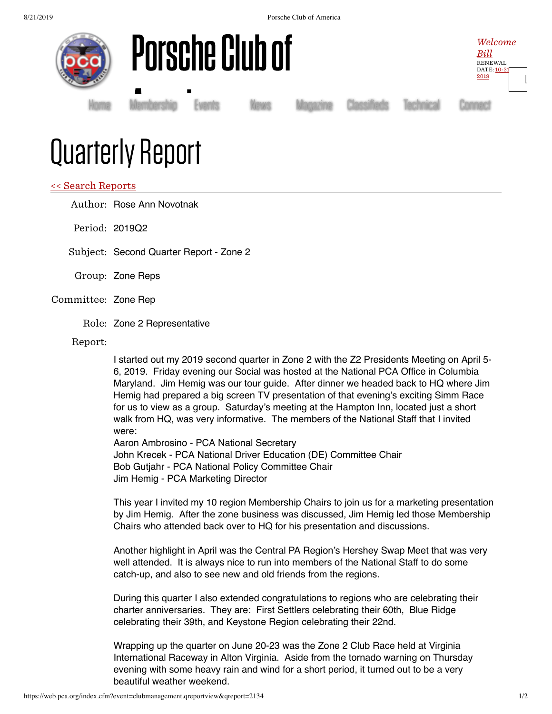8/21/2019 Porsche Club of America







Membership<br>|

[Home](https://www.pca.org/) [Membership](https://www.pca.org/membership) [Events](https://www.pca.org/events) [News](https://www.pca.org/news) [Magazine](https://www.pca.org/panorama/edition/panorama-june-2015) [Classifieds](https://www.pca.org/browse-the-mart-classified-ads) [Technical](https://www.pca.org/technical-question-search) [Connect](https://www.pca.org/contact)

## Quarterly Report

## << Search [Reports](https://web.pca.org/?event=clubmanagement.qreports)

Author: Rose Ann Novotnak

Period: 2019Q2

Subject: Second Quarter Report - Zone 2

- Group: Zone Reps
- Committee: Zone Rep
	- Role: Zone 2 Representative

Report:

I started out my 2019 second quarter in Zone 2 with the Z2 Presidents Meeting on April 5- 6, 2019. Friday evening our Social was hosted at the National PCA Office in Columbia Maryland. Jim Hemig was our tour guide. After dinner we headed back to HQ where Jim Hemig had prepared a big screen TV presentation of that evening's exciting Simm Race for us to view as a group. Saturday's meeting at the Hampton Inn, located just a short walk from HQ, was very informative. The members of the National Staff that I invited were:

Aaron Ambrosino - PCA National Secretary John Krecek - PCA National Driver Education (DE) Committee Chair Bob Gutjahr - PCA National Policy Committee Chair Jim Hemig - PCA Marketing Director

This year I invited my 10 region Membership Chairs to join us for a marketing presentation by Jim Hemig. After the zone business was discussed, Jim Hemig led those Membership Chairs who attended back over to HQ for his presentation and discussions.

Another highlight in April was the Central PA Region's Hershey Swap Meet that was very well attended. It is always nice to run into members of the National Staff to do some catch-up, and also to see new and old friends from the regions.

During this quarter I also extended congratulations to regions who are celebrating their charter anniversaries. They are: First Settlers celebrating their 60th, Blue Ridge celebrating their 39th, and Keystone Region celebrating their 22nd.

Wrapping up the quarter on June 20-23 was the Zone 2 Club Race held at Virginia International Raceway in Alton Virginia. Aside from the tornado warning on Thursday evening with some heavy rain and wind for a short period, it turned out to be a very beautiful weather weekend.